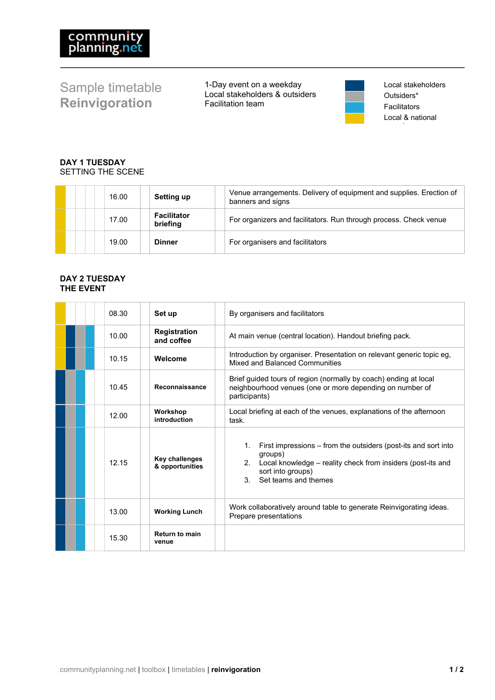# Sample timetable **Reinvigoration**

1-Day event on a weekday Local stakeholders & outsiders Facilitation team



Local stakeholders Outsiders\* Facilitators Local & national

## **DAY 1 TUESDAY** SETTING THE SCENE

| 16.00 | Setting up                     | Venue arrangements. Delivery of equipment and supplies. Erection of<br>banners and signs |
|-------|--------------------------------|------------------------------------------------------------------------------------------|
| 17.00 | <b>Facilitator</b><br>briefing | For organizers and facilitators. Run through process. Check venue                        |
| 19.00 | <b>Dinner</b>                  | For organisers and facilitators                                                          |

### **DAY 2 TUESDAY THE EVENT**

|  | 08.30 | Set up                            | By organisers and facilitators                                                                                                                                                                                        |
|--|-------|-----------------------------------|-----------------------------------------------------------------------------------------------------------------------------------------------------------------------------------------------------------------------|
|  | 10.00 | <b>Registration</b><br>and coffee | At main venue (central location). Handout briefing pack.                                                                                                                                                              |
|  | 10.15 | Welcome                           | Introduction by organiser. Presentation on relevant generic topic eg.<br>Mixed and Balanced Communities                                                                                                               |
|  | 10.45 | Reconnaissance                    | Brief guided tours of region (normally by coach) ending at local<br>neighbourhood venues (one or more depending on number of<br>participants)                                                                         |
|  | 12.00 | Workshop<br>introduction          | Local briefing at each of the venues, explanations of the afternoon<br>task.                                                                                                                                          |
|  | 12.15 | Key challenges<br>& opportunities | $1_{-}$<br>First impressions – from the outsiders (post-its and sort into<br>groups)<br>2. Local knowledge – reality check from insiders (post-its and<br>sort into groups)<br>Set teams and themes<br>3 <sub>1</sub> |
|  | 13.00 | <b>Working Lunch</b>              | Work collaboratively around table to generate Reinvigorating ideas.<br>Prepare presentations                                                                                                                          |
|  | 15.30 | <b>Return to main</b><br>venue    |                                                                                                                                                                                                                       |